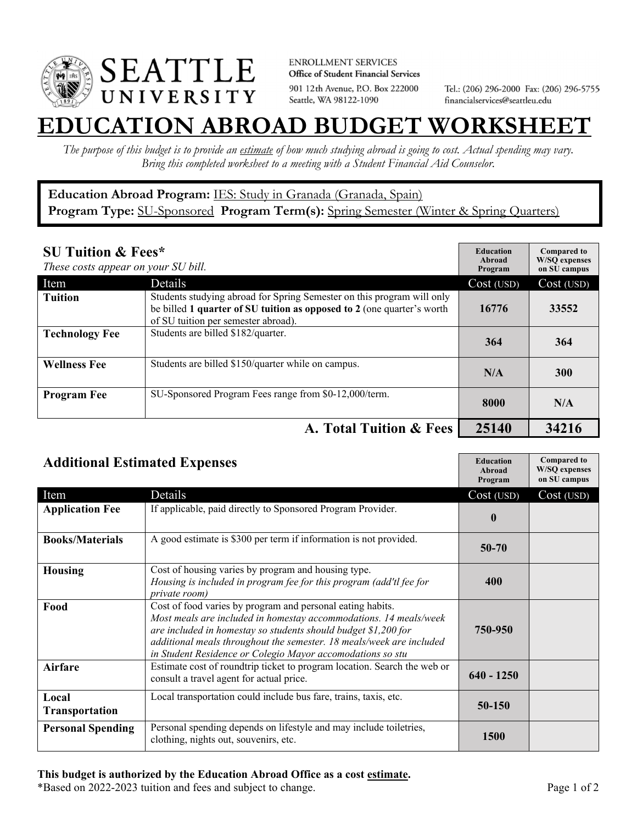

**ENROLLMENT SERVICES** Office of Student Financial Services 901 12th Avenue, P.O. Box 222000 Seattle, WA 98122-1090

Tel.: (206) 296-2000 Fax: (206) 296-5755 financialservices@seattleu.edu

## **EATION ABROAD BUDGET WORKSHEE**

*The purpose of this budget is to provide an estimate of how much studying abroad is going to cost. Actual spending may vary. Bring this completed worksheet to a meeting with a Student Financial Aid Counselor.* 

## **Education Abroad Program:** IES: Study in Granada (Granada, Spain) Program Type: **SU-Sponsored** Program Term(s): **Spring Semester** (Winter & Spring Quarters)

| <b>SU Tuition &amp; Fees*</b><br>These costs appear on your SU bill. |                                                                                                                                                                                         | <b>Education</b><br>Abroad<br>Program | <b>Compared to</b><br><b>W/SO</b> expenses<br>on SU campus |
|----------------------------------------------------------------------|-----------------------------------------------------------------------------------------------------------------------------------------------------------------------------------------|---------------------------------------|------------------------------------------------------------|
| Item                                                                 | Details                                                                                                                                                                                 | Cost (USD)                            | Cost (USD)                                                 |
| <b>Tuition</b>                                                       | Students studying abroad for Spring Semester on this program will only<br>be billed 1 quarter of SU tuition as opposed to 2 (one quarter's worth<br>of SU tuition per semester abroad). | 16776                                 | 33552                                                      |
| <b>Technology Fee</b>                                                | Students are billed \$182/quarter.                                                                                                                                                      | 364                                   | 364                                                        |
| <b>Wellness Fee</b>                                                  | Students are billed \$150/quarter while on campus.                                                                                                                                      | N/A                                   | <b>300</b>                                                 |
| <b>Program Fee</b>                                                   | SU-Sponsored Program Fees range from \$0-12,000/term.                                                                                                                                   | 8000                                  | N/A                                                        |
| A. Total Tuition & Fees                                              |                                                                                                                                                                                         | 25140                                 | 34216                                                      |

| <b>Additional Estimated Expenses</b> |                                                                                                                                                                                                                                                                                                                                         | <b>Education</b><br>Abroad<br>Program | <b>Compared to</b><br><b>W/SQ</b> expenses<br>on SU campus |
|--------------------------------------|-----------------------------------------------------------------------------------------------------------------------------------------------------------------------------------------------------------------------------------------------------------------------------------------------------------------------------------------|---------------------------------------|------------------------------------------------------------|
| Item                                 | Details                                                                                                                                                                                                                                                                                                                                 | Cost (USD)                            | Cost (USD)                                                 |
| <b>Application Fee</b>               | If applicable, paid directly to Sponsored Program Provider.                                                                                                                                                                                                                                                                             | $\boldsymbol{0}$                      |                                                            |
| <b>Books/Materials</b>               | A good estimate is \$300 per term if information is not provided.                                                                                                                                                                                                                                                                       | $50 - 70$                             |                                                            |
| <b>Housing</b>                       | Cost of housing varies by program and housing type.<br>Housing is included in program fee for this program (add'tl fee for<br>private room)                                                                                                                                                                                             | 400                                   |                                                            |
| Food                                 | Cost of food varies by program and personal eating habits.<br>Most meals are included in homestay accommodations. 14 meals/week<br>are included in homestay so students should budget \$1,200 for<br>additional meals throughout the semester. 18 meals/week are included<br>in Student Residence or Colegio Mayor accomodations so stu | 750-950                               |                                                            |
| <b>Airfare</b>                       | Estimate cost of roundtrip ticket to program location. Search the web or<br>consult a travel agent for actual price.                                                                                                                                                                                                                    | $640 - 1250$                          |                                                            |
| Local<br><b>Transportation</b>       | Local transportation could include bus fare, trains, taxis, etc.                                                                                                                                                                                                                                                                        | 50-150                                |                                                            |
| <b>Personal Spending</b>             | Personal spending depends on lifestyle and may include toiletries,<br>clothing, nights out, souvenirs, etc.                                                                                                                                                                                                                             | 1500                                  |                                                            |

\*Based on 2022-2023 tuition and fees and subject to change. Page 1 of 2